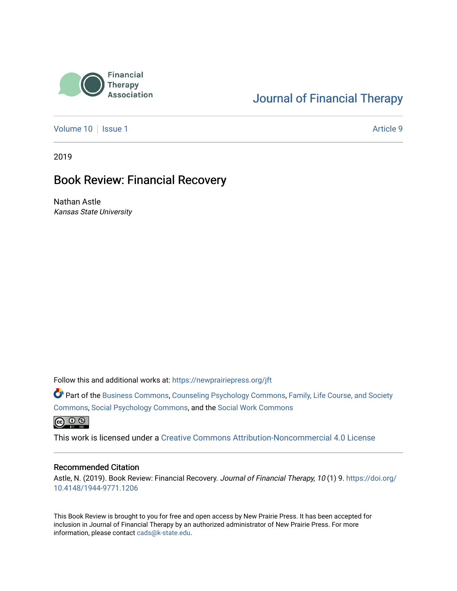

## [Journal of Financial Therapy](https://newprairiepress.org/jft)

[Volume 10](https://newprairiepress.org/jft/vol10) | [Issue 1](https://newprairiepress.org/jft/vol10/iss1) Article 9

2019

#### Book Review: Financial Recovery

Nathan Astle Kansas State University

Follow this and additional works at: [https://newprairiepress.org/jft](https://newprairiepress.org/jft?utm_source=newprairiepress.org%2Fjft%2Fvol10%2Fiss1%2F9&utm_medium=PDF&utm_campaign=PDFCoverPages)

Part of the [Business Commons](http://network.bepress.com/hgg/discipline/622?utm_source=newprairiepress.org%2Fjft%2Fvol10%2Fiss1%2F9&utm_medium=PDF&utm_campaign=PDFCoverPages), [Counseling Psychology Commons,](http://network.bepress.com/hgg/discipline/1044?utm_source=newprairiepress.org%2Fjft%2Fvol10%2Fiss1%2F9&utm_medium=PDF&utm_campaign=PDFCoverPages) [Family, Life Course, and Society](http://network.bepress.com/hgg/discipline/419?utm_source=newprairiepress.org%2Fjft%2Fvol10%2Fiss1%2F9&utm_medium=PDF&utm_campaign=PDFCoverPages)  [Commons](http://network.bepress.com/hgg/discipline/419?utm_source=newprairiepress.org%2Fjft%2Fvol10%2Fiss1%2F9&utm_medium=PDF&utm_campaign=PDFCoverPages), [Social Psychology Commons,](http://network.bepress.com/hgg/discipline/414?utm_source=newprairiepress.org%2Fjft%2Fvol10%2Fiss1%2F9&utm_medium=PDF&utm_campaign=PDFCoverPages) and the [Social Work Commons](http://network.bepress.com/hgg/discipline/713?utm_source=newprairiepress.org%2Fjft%2Fvol10%2Fiss1%2F9&utm_medium=PDF&utm_campaign=PDFCoverPages) 

 $\bigcirc$   $\bigcirc$   $\bigcirc$ 

This work is licensed under a [Creative Commons Attribution-Noncommercial 4.0 License](https://creativecommons.org/licenses/by-nc/4.0/)

#### Recommended Citation

Astle, N. (2019). Book Review: Financial Recovery. Journal of Financial Therapy, 10 (1) 9. [https://doi.org/](https://doi.org/10.4148/1944-9771.1206) [10.4148/1944-9771.1206](https://doi.org/10.4148/1944-9771.1206)

This Book Review is brought to you for free and open access by New Prairie Press. It has been accepted for inclusion in Journal of Financial Therapy by an authorized administrator of New Prairie Press. For more information, please contact [cads@k-state.edu](mailto:cads@k-state.edu).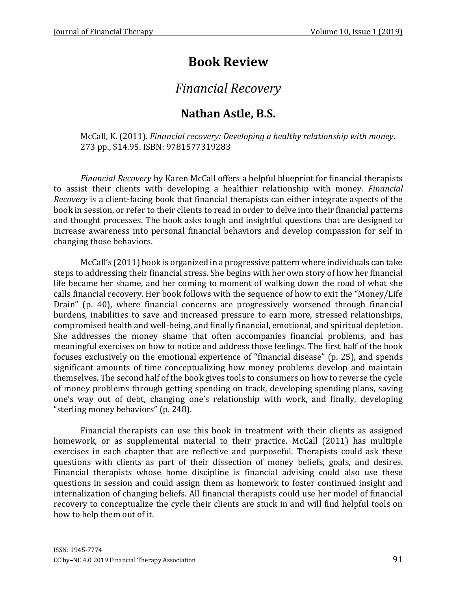# **Book Review**

# *Financial Recovery*

### **Nathan Astle, B.S.**

McCall, K. (2011). *Financial recovery: Developing a healthy relationship with money*. 273 pp., \$14.95. ISBN: 9781577319283

*Financial Recovery* by Karen McCall offers a helpful blueprint for financial therapists to assist their clients with developing a healthier relationship with money. *Financial Recovery* is a client-facing book that financial therapists can either integrate aspects of the book in session, or refer to their clients to read in order to delve into their financial patterns and thought processes. The book asks tough and insightful questions that are designed to increase awareness into personal financial behaviors and develop compassion for self in changing those behaviors.

McCall's (2011) book is organized in a progressive pattern where individuals can take steps to addressing their financial stress. She begins with her own story of how her financial life became her shame, and her coming to moment of walking down the road of what she calls financial recovery. Her book follows with the sequence of how to exit the "Money/Life Drain" (p. 40), where financial concerns are progressively worsened through financial burdens, inabilities to save and increased pressure to earn more, stressed relationships, compromised health and well-being, and finally financial, emotional, and spiritual depletion. She addresses the money shame that often accompanies financial problems, and has meaningful exercises on how to notice and address those feelings. The first half of the book focuses exclusively on the emotional experience of "financial disease" (p. 25), and spends significant amounts of time conceptualizing how money problems develop and maintain themselves. The second half of the book gives tools to consumers on how to reverse the cycle of money problems through getting spending on track, developing spending plans, saving one's way out of debt, changing one's relationship with work, and finally, developing "sterling money behaviors" (p. 248).

Financial therapists can use this book in treatment with their clients as assigned homework, or as supplemental material to their practice. McCall (2011) has multiple exercises in each chapter that are reflective and purposeful. Therapists could ask these questions with clients as part of their dissection of money beliefs, goals, and desires. Financial therapists whose home discipline is financial advising could also use these questions in session and could assign them as homework to foster continued insight and internalization of changing beliefs. All financial therapists could use her model of financial recovery to conceptualize the cycle their clients are stuck in and will find helpful tools on how to help them out of it.